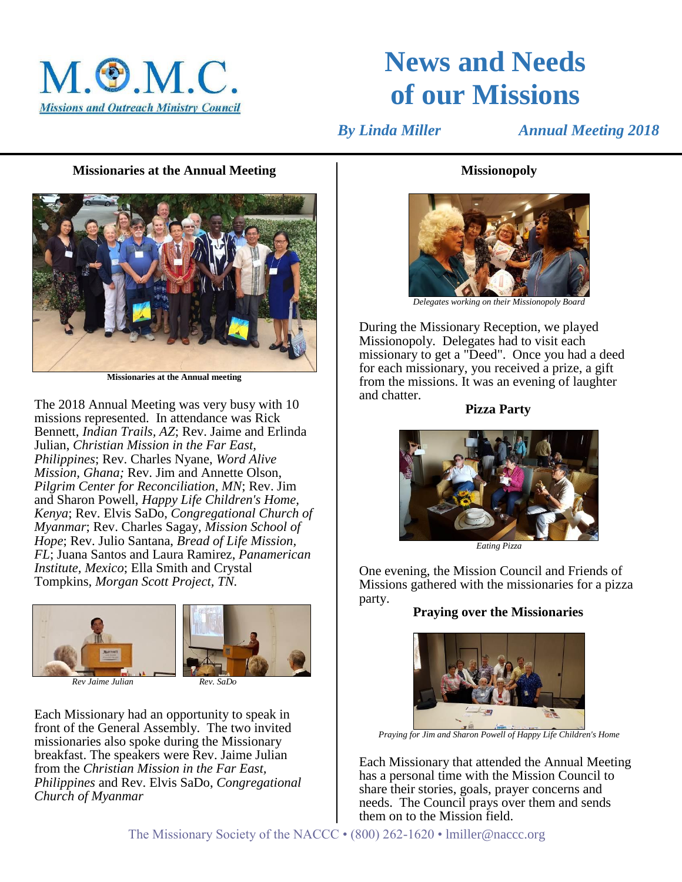

# **News and Needs of our Missions**

 *By Linda Miller Annual Meeting 2018*

### **Missionaries at the Annual Meeting**



**Missionaries at the Annual meeting**

The 2018 Annual Meeting was very busy with 10 missions represented. In attendance was Rick Bennett, *Indian Trails, AZ*; Rev. Jaime and Erlinda Julian, *Christian Mission in the Far East, Philippines*; Rev. Charles Nyane, *Word Alive Mission, Ghana;* Rev. Jim and Annette Olson, *Pilgrim Center for Reconciliation, MN*; Rev. Jim and Sharon Powell, *Happy Life Children's Home, Kenya*; Rev. Elvis SaDo, *Congregational Church of Myanmar*; Rev. Charles Sagay, *Mission School of Hope*; Rev. Julio Santana, *Bread of Life Mission, FL*; Juana Santos and Laura Ramirez, *Panamerican Institute, Mexico*; Ella Smith and Crystal Tompkins, *Morgan Scott Project, TN.*



*Rev Jaime Julian Rev. SaDo*

Each Missionary had an opportunity to speak in front of the General Assembly. The two invited missionaries also spoke during the Missionary breakfast. The speakers were Rev. Jaime Julian from the *Christian Mission in the Far East, Philippines* and Rev. Elvis SaDo, *Congregational Church of Myanmar*

## **Missionopoly**



*Delegates working on their Missionopoly Board*

During the Missionary Reception, we played Missionopoly. Delegates had to visit each missionary to get a "Deed". Once you had a deed for each missionary, you received a prize, a gift from the missions. It was an evening of laughter and chatter.

**Pizza Party**



*Eating Pizza*

One evening, the Mission Council and Friends of Missions gathered with the missionaries for a pizza party.

## **Praying over the Missionaries**



*Praying for Jim and Sharon Powell of Happy Life Children's Home*

Each Missionary that attended the Annual Meeting has a personal time with the Mission Council to share their stories, goals, prayer concerns and needs. The Council prays over them and sends them on to the Mission field.

The Missionary Society of the NACCC • (800) 262-1620 • lmiller@naccc.org